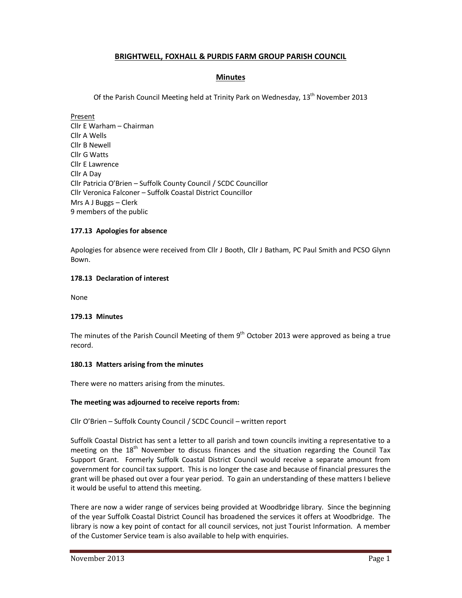# **BRIGHTWELL, FOXHALL & PURDIS FARM GROUP PARISH COUNCIL**

# **Minutes**

Of the Parish Council Meeting held at Trinity Park on Wednesday, 13<sup>th</sup> November 2013

Present Cllr E Warham – Chairman Cllr A Wells Cllr B Newell Cllr G Watts Cllr E Lawrence Cllr A Day Cllr Patricia O'Brien – Suffolk County Council / SCDC Councillor Cllr Veronica Falconer – Suffolk Coastal District Councillor Mrs A J Buggs – Clerk 9 members of the public

# **177.13 Apologies for absence**

Apologies for absence were received from Cllr J Booth, Cllr J Batham, PC Paul Smith and PCSO Glynn Bown.

# **178.13 Declaration of interest**

None

# **179.13 Minutes**

The minutes of the Parish Council Meeting of them  $9<sup>th</sup>$  October 2013 were approved as being a true record.

### **180.13 Matters arising from the minutes**

There were no matters arising from the minutes.

### **The meeting was adjourned to receive reports from:**

Cllr O'Brien – Suffolk County Council / SCDC Council – written report

Suffolk Coastal District has sent a letter to all parish and town councils inviting a representative to a meeting on the 18<sup>th</sup> November to discuss finances and the situation regarding the Council Tax Support Grant. Formerly Suffolk Coastal District Council would receive a separate amount from government for council tax support. This is no longer the case and because of financial pressures the grant will be phased out over a four year period. To gain an understanding of these matters I believe it would be useful to attend this meeting.

There are now a wider range of services being provided at Woodbridge library. Since the beginning of the year Suffolk Coastal District Council has broadened the services it offers at Woodbridge. The library is now a key point of contact for all council services, not just Tourist Information. A member of the Customer Service team is also available to help with enquiries.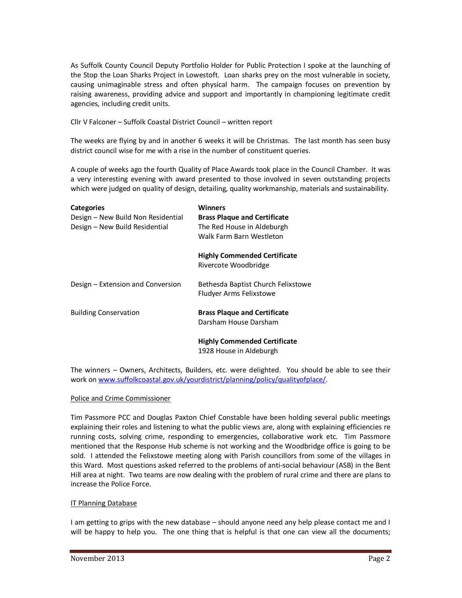As Suffolk County Council Deputy Portfolio Holder for Public Protection I spoke at the launching of the Stop the Loan Sharks Project in Lowestoft. Loan sharks prey on the most vulnerable in society, causing unimaginable stress and often physical harm. The campaign focuses on prevention by raising awareness, providing advice and support and importantly in championing legitimate credit agencies, including credit units.

Cllr V Falconer – Suffolk Coastal District Council – written report

The weeks are flying by and in another 6 weeks it will be Christmas. The last month has seen busy district council wise for me with a rise in the number of constituent queries.

A couple of weeks ago the fourth Quality of Place Awards took place in the Council Chamber. It was a very interesting evening with award presented to those involved in seven outstanding projects which were judged on quality of design, detailing, quality workmanship, materials and sustainability.

| <b>Categories</b>                  | Winners                                                       |
|------------------------------------|---------------------------------------------------------------|
| Design - New Build Non Residential | <b>Brass Plaque and Certificate</b>                           |
| Design - New Build Residential     | The Red House in Aldeburgh                                    |
|                                    | Walk Farm Barn Westleton                                      |
|                                    | <b>Highly Commended Certificate</b><br>Rivercote Woodbridge   |
| Design – Extension and Conversion  | Bethesda Baptist Church Felixstowe<br>Fludyer Arms Felixstowe |
| <b>Building Conservation</b>       | <b>Brass Plaque and Certificate</b><br>Darsham House Darsham  |
|                                    | <b>Highly Commended Certificate</b>                           |
|                                    | 1928 House in Aldeburgh                                       |

The winners – Owners, Architects, Builders, etc. were delighted. You should be able to see their work on www.suffolkcoastal.gov.uk/yourdistrict/planning/policy/qualityofplace/.

### Police and Crime Commissioner

Tim Passmore PCC and Douglas Paxton Chief Constable have been holding several public meetings explaining their roles and listening to what the public views are, along with explaining efficiencies re running costs, solving crime, responding to emergencies, collaborative work etc. Tim Passmore mentioned that the Response Hub scheme is not working and the Woodbridge office is going to be sold. I attended the Felixstowe meeting along with Parish councillors from some of the villages in this Ward. Most questions asked referred to the problems of anti-social behaviour (ASB) in the Bent Hill area at night. Two teams are now dealing with the problem of rural crime and there are plans to increase the Police Force.

### IT Planning Database

I am getting to grips with the new database – should anyone need any help please contact me and I will be happy to help you. The one thing that is helpful is that one can view all the documents;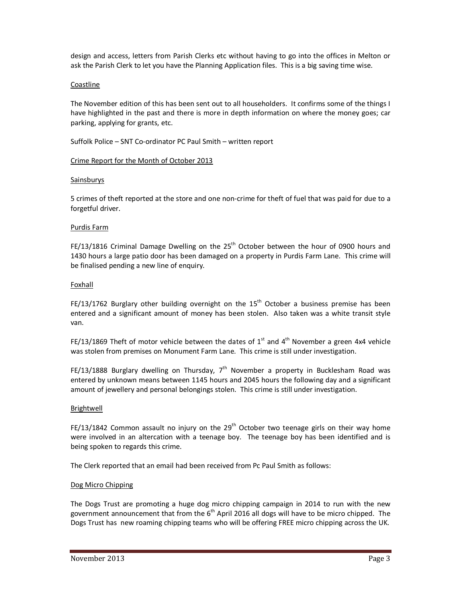design and access, letters from Parish Clerks etc without having to go into the offices in Melton or ask the Parish Clerk to let you have the Planning Application files. This is a big saving time wise.

### Coastline

The November edition of this has been sent out to all householders. It confirms some of the things I have highlighted in the past and there is more in depth information on where the money goes; car parking, applying for grants, etc.

Suffolk Police – SNT Co-ordinator PC Paul Smith – written report

#### Crime Report for the Month of October 2013

#### Sainsburys

5 crimes of theft reported at the store and one non-crime for theft of fuel that was paid for due to a forgetful driver.

#### Purdis Farm

FE/13/1816 Criminal Damage Dwelling on the  $25<sup>th</sup>$  October between the hour of 0900 hours and 1430 hours a large patio door has been damaged on a property in Purdis Farm Lane. This crime will be finalised pending a new line of enquiry.

#### Foxhall

FE/13/1762 Burglary other building overnight on the  $15<sup>th</sup>$  October a business premise has been entered and a significant amount of money has been stolen. Also taken was a white transit style van.

FE/13/1869 Theft of motor vehicle between the dates of  $1<sup>st</sup>$  and  $4<sup>th</sup>$  November a green 4x4 vehicle was stolen from premises on Monument Farm Lane. This crime is still under investigation.

FE/13/1888 Burglary dwelling on Thursday,  $7<sup>th</sup>$  November a property in Bucklesham Road was entered by unknown means between 1145 hours and 2045 hours the following day and a significant amount of jewellery and personal belongings stolen. This crime is still under investigation.

### Brightwell

FE/13/1842 Common assault no injury on the  $29<sup>th</sup>$  October two teenage girls on their way home were involved in an altercation with a teenage boy. The teenage boy has been identified and is being spoken to regards this crime.

The Clerk reported that an email had been received from Pc Paul Smith as follows:

### Dog Micro Chipping

The Dogs Trust are promoting a huge dog micro chipping campaign in 2014 to run with the new government announcement that from the  $6<sup>th</sup>$  April 2016 all dogs will have to be micro chipped. The Dogs Trust has new roaming chipping teams who will be offering FREE micro chipping across the UK.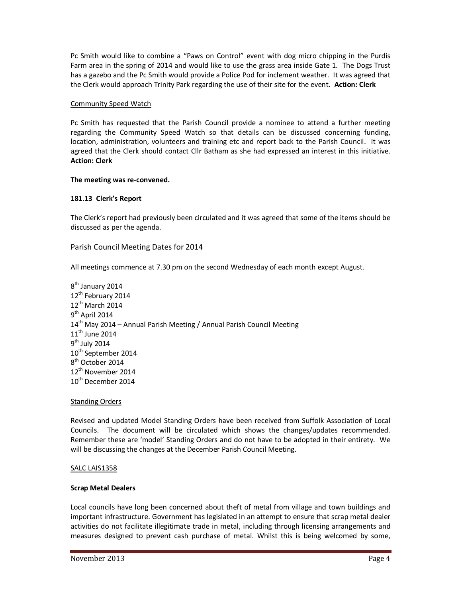Pc Smith would like to combine a "Paws on Control" event with dog micro chipping in the Purdis Farm area in the spring of 2014 and would like to use the grass area inside Gate 1. The Dogs Trust has a gazebo and the Pc Smith would provide a Police Pod for inclement weather. It was agreed that the Clerk would approach Trinity Park regarding the use of their site for the event. **Action: Clerk** 

### Community Speed Watch

Pc Smith has requested that the Parish Council provide a nominee to attend a further meeting regarding the Community Speed Watch so that details can be discussed concerning funding, location, administration, volunteers and training etc and report back to the Parish Council. It was agreed that the Clerk should contact Cllr Batham as she had expressed an interest in this initiative. **Action: Clerk**

### **The meeting was re-convened.**

# **181.13 Clerk's Report**

The Clerk's report had previously been circulated and it was agreed that some of the items should be discussed as per the agenda.

# Parish Council Meeting Dates for 2014

All meetings commence at 7.30 pm on the second Wednesday of each month except August.

8<sup>th</sup> January 2014 12<sup>th</sup> February 2014 12<sup>th</sup> March 2014 9<sup>th</sup> April 2014  $14<sup>th</sup>$  May 2014 – Annual Parish Meeting / Annual Parish Council Meeting 11<sup>th</sup> June 2014 9<sup>th</sup> July 2014 10<sup>th</sup> September 2014 8<sup>th</sup> October 2014 12<sup>th</sup> November 2014 10<sup>th</sup> December 2014

### **Standing Orders**

Revised and updated Model Standing Orders have been received from Suffolk Association of Local Councils. The document will be circulated which shows the changes/updates recommended. Remember these are 'model' Standing Orders and do not have to be adopted in their entirety. We will be discussing the changes at the December Parish Council Meeting.

### SALC LAIS1358

### **Scrap Metal Dealers**

Local councils have long been concerned about theft of metal from village and town buildings and important infrastructure. Government has legislated in an attempt to ensure that scrap metal dealer activities do not facilitate illegitimate trade in metal, including through licensing arrangements and measures designed to prevent cash purchase of metal. Whilst this is being welcomed by some,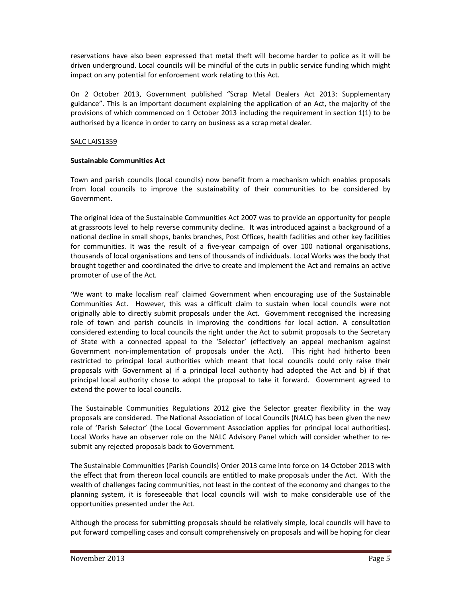reservations have also been expressed that metal theft will become harder to police as it will be driven underground. Local councils will be mindful of the cuts in public service funding which might impact on any potential for enforcement work relating to this Act.

On 2 October 2013, Government published "Scrap Metal Dealers Act 2013: Supplementary guidance". This is an important document explaining the application of an Act, the majority of the provisions of which commenced on 1 October 2013 including the requirement in section 1(1) to be authorised by a licence in order to carry on business as a scrap metal dealer.

### SALC LAIS1359

### **Sustainable Communities Act**

Town and parish councils (local councils) now benefit from a mechanism which enables proposals from local councils to improve the sustainability of their communities to be considered by Government.

The original idea of the Sustainable Communities Act 2007 was to provide an opportunity for people at grassroots level to help reverse community decline. It was introduced against a background of a national decline in small shops, banks branches, Post Offices, health facilities and other key facilities for communities. It was the result of a five-year campaign of over 100 national organisations, thousands of local organisations and tens of thousands of individuals. Local Works was the body that brought together and coordinated the drive to create and implement the Act and remains an active promoter of use of the Act.

'We want to make localism real' claimed Government when encouraging use of the Sustainable Communities Act. However, this was a difficult claim to sustain when local councils were not originally able to directly submit proposals under the Act. Government recognised the increasing role of town and parish councils in improving the conditions for local action. A consultation considered extending to local councils the right under the Act to submit proposals to the Secretary of State with a connected appeal to the 'Selector' (effectively an appeal mechanism against Government non-implementation of proposals under the Act). This right had hitherto been restricted to principal local authorities which meant that local councils could only raise their proposals with Government a) if a principal local authority had adopted the Act and b) if that principal local authority chose to adopt the proposal to take it forward. Government agreed to extend the power to local councils.

The Sustainable Communities Regulations 2012 give the Selector greater flexibility in the way proposals are considered. The National Association of Local Councils (NALC) has been given the new role of 'Parish Selector' (the Local Government Association applies for principal local authorities). Local Works have an observer role on the NALC Advisory Panel which will consider whether to resubmit any rejected proposals back to Government.

The Sustainable Communities (Parish Councils) Order 2013 came into force on 14 October 2013 with the effect that from thereon local councils are entitled to make proposals under the Act. With the wealth of challenges facing communities, not least in the context of the economy and changes to the planning system, it is foreseeable that local councils will wish to make considerable use of the opportunities presented under the Act.

Although the process for submitting proposals should be relatively simple, local councils will have to put forward compelling cases and consult comprehensively on proposals and will be hoping for clear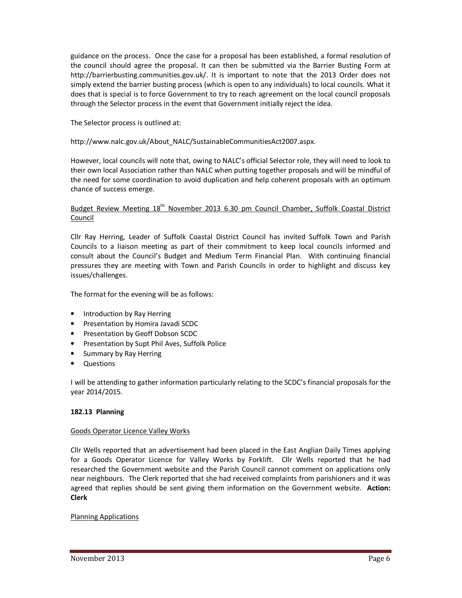guidance on the process. Once the case for a proposal has been established, a formal resolution of the council should agree the proposal. It can then be submitted via the Barrier Busting Form at http://barrierbusting.communities.gov.uk/. It is important to note that the 2013 Order does not simply extend the barrier busting process (which is open to any individuals) to local councils. What it does that is special is to force Government to try to reach agreement on the local council proposals through the Selector process in the event that Government initially reject the idea.

The Selector process is outlined at:

http://www.nalc.gov.uk/About\_NALC/SustainableCommunitiesAct2007.aspx.

However, local councils will note that, owing to NALC's official Selector role, they will need to look to their own local Association rather than NALC when putting together proposals and will be mindful of the need for some coordination to avoid duplication and help coherent proposals with an optimum chance of success emerge.

# Budget Review Meeting 18<sup>th</sup> November 2013 6.30 pm Council Chamber, Suffolk Coastal District Council

Cllr Ray Herring, Leader of Suffolk Coastal District Council has invited Suffolk Town and Parish Councils to a liaison meeting as part of their commitment to keep local councils informed and consult about the Council's Budget and Medium Term Financial Plan. With continuing financial pressures they are meeting with Town and Parish Councils in order to highlight and discuss key issues/challenges.

The format for the evening will be as follows:

- Introduction by Ray Herring
- Presentation by Homira Javadi SCDC
- Presentation by Geoff Dobson SCDC
- Presentation by Supt Phil Aves, Suffolk Police
- Summary by Ray Herring
- Questions

I will be attending to gather information particularly relating to the SCDC's financial proposals for the year 2014/2015.

# **182.13 Planning**

# Goods Operator Licence Valley Works

Cllr Wells reported that an advertisement had been placed in the East Anglian Daily Times applying for a Goods Operator Licence for Valley Works by Forklift. Cllr Wells reported that he had researched the Government website and the Parish Council cannot comment on applications only near neighbours. The Clerk reported that she had received complaints from parishioners and it was agreed that replies should be sent giving them information on the Government website. **Action: Clerk** 

# Planning Applications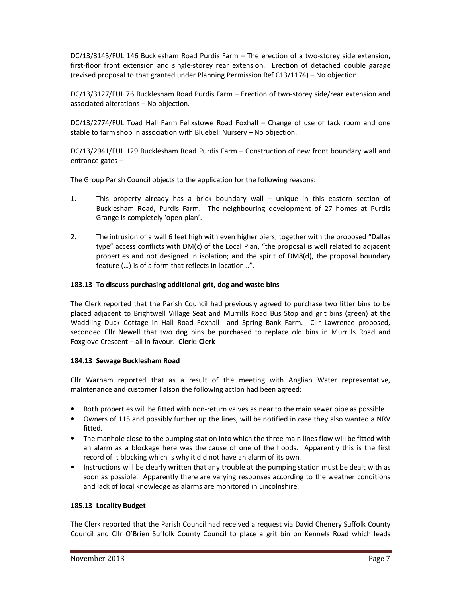DC/13/3145/FUL 146 Bucklesham Road Purdis Farm – The erection of a two-storey side extension, first-floor front extension and single-storey rear extension. Erection of detached double garage (revised proposal to that granted under Planning Permission Ref C13/1174) – No objection.

DC/13/3127/FUL 76 Bucklesham Road Purdis Farm – Erection of two-storey side/rear extension and associated alterations – No objection.

DC/13/2774/FUL Toad Hall Farm Felixstowe Road Foxhall – Change of use of tack room and one stable to farm shop in association with Bluebell Nursery – No objection.

DC/13/2941/FUL 129 Bucklesham Road Purdis Farm – Construction of new front boundary wall and entrance gates –

The Group Parish Council objects to the application for the following reasons:

- 1. This property already has a brick boundary wall unique in this eastern section of Bucklesham Road, Purdis Farm. The neighbouring development of 27 homes at Purdis Grange is completely 'open plan'.
- 2. The intrusion of a wall 6 feet high with even higher piers, together with the proposed "Dallas type" access conflicts with DM(c) of the Local Plan, "the proposal is well related to adjacent properties and not designed in isolation; and the spirit of DM8(d), the proposal boundary feature (…) is of a form that reflects in location…".

### **183.13 To discuss purchasing additional grit, dog and waste bins**

The Clerk reported that the Parish Council had previously agreed to purchase two litter bins to be placed adjacent to Brightwell Village Seat and Murrills Road Bus Stop and grit bins (green) at the Waddling Duck Cottage in Hall Road Foxhall and Spring Bank Farm. Cllr Lawrence proposed, seconded Cllr Newell that two dog bins be purchased to replace old bins in Murrills Road and Foxglove Crescent – all in favour. **Clerk: Clerk** 

### **184.13 Sewage Bucklesham Road**

Cllr Warham reported that as a result of the meeting with Anglian Water representative, maintenance and customer liaison the following action had been agreed:

- Both properties will be fitted with non-return valves as near to the main sewer pipe as possible.
- Owners of 115 and possibly further up the lines, will be notified in case they also wanted a NRV fitted.
- The manhole close to the pumping station into which the three main lines flow will be fitted with an alarm as a blockage here was the cause of one of the floods. Apparently this is the first record of it blocking which is why it did not have an alarm of its own.
- Instructions will be clearly written that any trouble at the pumping station must be dealt with as soon as possible. Apparently there are varying responses according to the weather conditions and lack of local knowledge as alarms are monitored in Lincolnshire.

### **185.13 Locality Budget**

The Clerk reported that the Parish Council had received a request via David Chenery Suffolk County Council and Cllr O'Brien Suffolk County Council to place a grit bin on Kennels Road which leads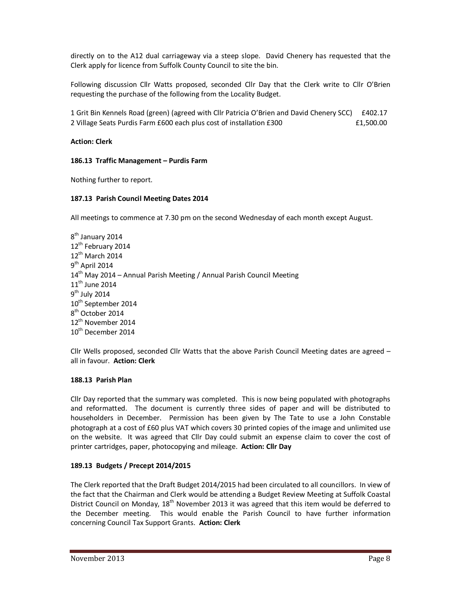directly on to the A12 dual carriageway via a steep slope. David Chenery has requested that the Clerk apply for licence from Suffolk County Council to site the bin.

Following discussion Cllr Watts proposed, seconded Cllr Day that the Clerk write to Cllr O'Brien requesting the purchase of the following from the Locality Budget.

1 Grit Bin Kennels Road (green) (agreed with Cllr Patricia O'Brien and David Chenery SCC) £402.17 2 Village Seats Purdis Farm £600 each plus cost of installation £300 **EXEC 614** E1,500.00

### **Action: Clerk**

### **186.13 Traffic Management – Purdis Farm**

Nothing further to report.

### **187.13 Parish Council Meeting Dates 2014**

All meetings to commence at 7.30 pm on the second Wednesday of each month except August.

8<sup>th</sup> January 2014 12<sup>th</sup> February 2014 12<sup>th</sup> March 2014 9<sup>th</sup> April 2014  $14<sup>th</sup>$  May 2014 – Annual Parish Meeting / Annual Parish Council Meeting  $11<sup>th</sup>$  June 2014 9<sup>th</sup> July 2014 10<sup>th</sup> September 2014 8<sup>th</sup> October 2014 12<sup>th</sup> November 2014 10<sup>th</sup> December 2014

Cllr Wells proposed, seconded Cllr Watts that the above Parish Council Meeting dates are agreed – all in favour. **Action: Clerk** 

### **188.13 Parish Plan**

Cllr Day reported that the summary was completed. This is now being populated with photographs and reformatted. The document is currently three sides of paper and will be distributed to householders in December. Permission has been given by The Tate to use a John Constable photograph at a cost of £60 plus VAT which covers 30 printed copies of the image and unlimited use on the website. It was agreed that Cllr Day could submit an expense claim to cover the cost of printer cartridges, paper, photocopying and mileage. **Action: Cllr Day**

# **189.13 Budgets / Precept 2014/2015**

The Clerk reported that the Draft Budget 2014/2015 had been circulated to all councillors. In view of the fact that the Chairman and Clerk would be attending a Budget Review Meeting at Suffolk Coastal District Council on Monday, 18<sup>th</sup> November 2013 it was agreed that this item would be deferred to the December meeting. This would enable the Parish Council to have further information concerning Council Tax Support Grants. **Action: Clerk**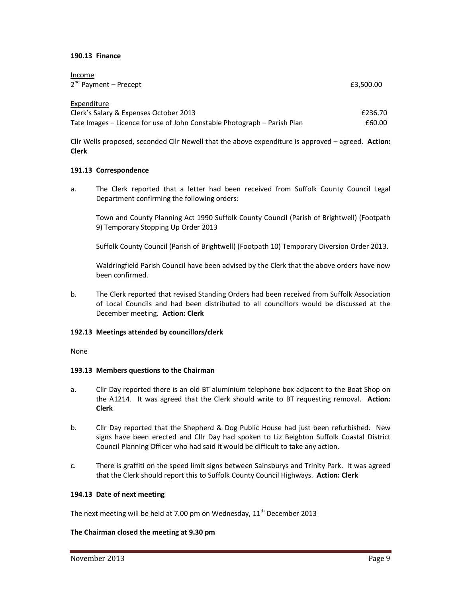### **190.13 Finance**

Income

| mcome<br>$2^{nd}$ Payment – Precept                                      | £3,500.00 |
|--------------------------------------------------------------------------|-----------|
| Expenditure                                                              |           |
| Clerk's Salary & Expenses October 2013                                   | £236.70   |
| Tate Images – Licence for use of John Constable Photograph – Parish Plan | £60.00    |

Cllr Wells proposed, seconded Cllr Newell that the above expenditure is approved – agreed. **Action: Clerk** 

### **191.13 Correspondence**

a. The Clerk reported that a letter had been received from Suffolk County Council Legal Department confirming the following orders:

 Town and County Planning Act 1990 Suffolk County Council (Parish of Brightwell) (Footpath 9) Temporary Stopping Up Order 2013

Suffolk County Council (Parish of Brightwell) (Footpath 10) Temporary Diversion Order 2013.

 Waldringfield Parish Council have been advised by the Clerk that the above orders have now been confirmed.

b. The Clerk reported that revised Standing Orders had been received from Suffolk Association of Local Councils and had been distributed to all councillors would be discussed at the December meeting. **Action: Clerk** 

### **192.13 Meetings attended by councillors/clerk**

None

### **193.13 Members questions to the Chairman**

- a. Cllr Day reported there is an old BT aluminium telephone box adjacent to the Boat Shop on the A1214. It was agreed that the Clerk should write to BT requesting removal. **Action: Clerk**
- b. Cllr Day reported that the Shepherd & Dog Public House had just been refurbished. New signs have been erected and Cllr Day had spoken to Liz Beighton Suffolk Coastal District Council Planning Officer who had said it would be difficult to take any action.
- c. There is graffiti on the speed limit signs between Sainsburys and Trinity Park. It was agreed that the Clerk should report this to Suffolk County Council Highways. **Action: Clerk**

### **194.13 Date of next meeting**

The next meeting will be held at 7.00 pm on Wednesday,  $11<sup>th</sup>$  December 2013

### **The Chairman closed the meeting at 9.30 pm**